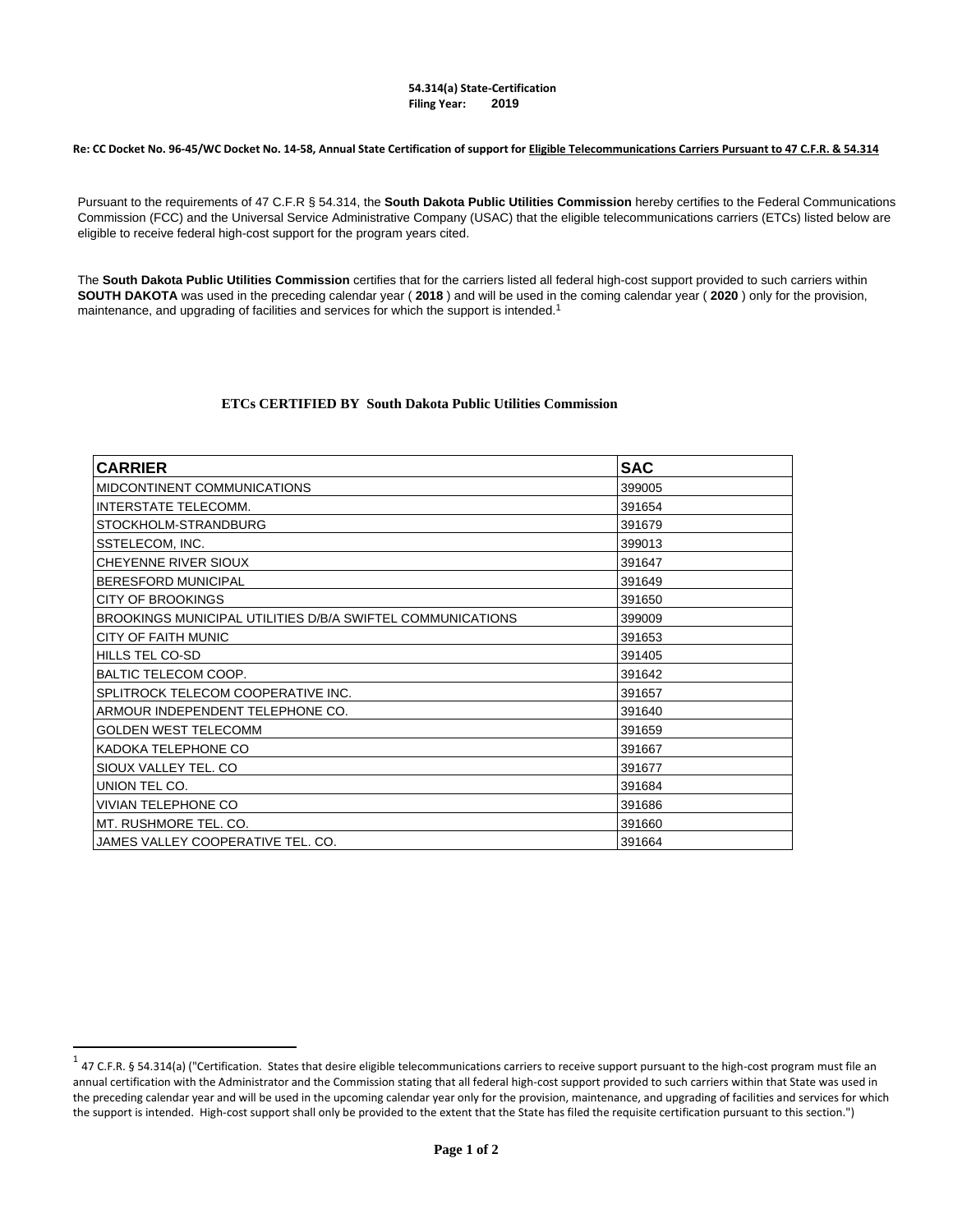## **54.314(a) State-Certification Filing Year: 2019**

**Re: CC Docket No. 96-45/WC Docket No. 14-58, Annual State Certification of support for Eligible Telecommunications Carriers Pursuant to 47 C.F.R. & 54.314**

Pursuant to the requirements of 47 C.F.R § 54.314, the **South Dakota Public Utilities Commission** hereby certifies to the Federal Communications Commission (FCC) and the Universal Service Administrative Company (USAC) that the eligible telecommunications carriers (ETCs) listed below are eligible to receive federal high-cost support for the program years cited.

The **South Dakota Public Utilities Commission** certifies that for the carriers listed all fe[d](#page-0-0)eral high-cost support provided to such carriers within **SOUTH DAKOTA** was used in the preceding calendar year ( **2018** ) and will be used in the coming calendar year ( **2020** ) only for the provision, maintenance, and upgrading of facilities and services for which the support is intended.<sup>1</sup>

## **ETCs CERTIFIED BY South Dakota Public Utilities Commission**

| <b>CARRIER</b>                                             | <b>SAC</b> |
|------------------------------------------------------------|------------|
| MIDCONTINENT COMMUNICATIONS                                | 399005     |
| <b>INTERSTATE TELECOMM.</b>                                | 391654     |
| STOCKHOLM-STRANDBURG                                       | 391679     |
| SSTELECOM, INC.                                            | 399013     |
| CHEYENNE RIVER SIOUX                                       | 391647     |
| <b>BERESFORD MUNICIPAL</b>                                 | 391649     |
| <b>CITY OF BROOKINGS</b>                                   | 391650     |
| BROOKINGS MUNICIPAL UTILITIES D/B/A SWIFTEL COMMUNICATIONS | 399009     |
| <b>CITY OF FAITH MUNIC</b>                                 | 391653     |
| <b>HILLS TEL CO-SD</b>                                     | 391405     |
| BALTIC TELECOM COOP.                                       | 391642     |
| SPLITROCK TELECOM COOPERATIVE INC.                         | 391657     |
| ARMOUR INDEPENDENT TELEPHONE CO.                           | 391640     |
| <b>GOLDEN WEST TELECOMM</b>                                | 391659     |
| KADOKA TELEPHONE CO                                        | 391667     |
| SIOUX VALLEY TEL. CO                                       | 391677     |
| UNION TEL CO.                                              | 391684     |
| <b>VIVIAN TELEPHONE CO</b>                                 | 391686     |
| MT. RUSHMORE TEL. CO.                                      | 391660     |
| JAMES VALLEY COOPERATIVE TEL. CO.                          | 391664     |

 $\overline{a}$ 

<span id="page-0-0"></span> $1$  47 C.F.R. § 54.314(a) ("Certification. States that desire eligible telecommunications carriers to receive support pursuant to the high-cost program must file an annual certification with the Administrator and the Commission stating that all federal high-cost support provided to such carriers within that State was used in the preceding calendar year and will be used in the upcoming calendar year only for the provision, maintenance, and upgrading of facilities and services for which the support is intended. High-cost support shall only be provided to the extent that the State has filed the requisite certification pursuant to this section.")